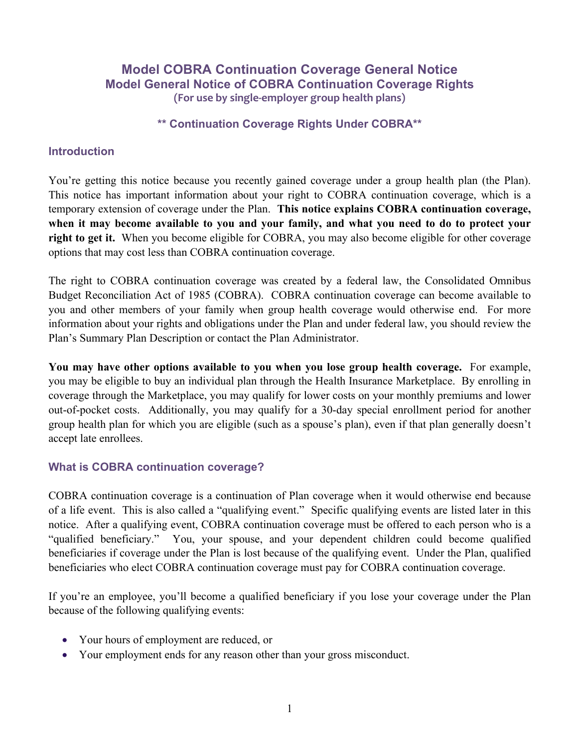# **Model COBRA Continuation Coverage General Notice Model General Notice of COBRA Continuation Coverage Rights (For use by single-employer group health plans)**

#### **\*\* Continuation Coverage Rights Under COBRA\*\***

#### **Introduction**

You're getting this notice because you recently gained coverage under a group health plan (the Plan). This notice has important information about your right to COBRA continuation coverage, which is a temporary extension of coverage under the Plan. **This notice explains COBRA continuation coverage, when it may become available to you and your family, and what you need to do to protect your right to get it.** When you become eligible for COBRA, you may also become eligible for other coverage options that may cost less than COBRA continuation coverage.

The right to COBRA continuation coverage was created by a federal law, the Consolidated Omnibus Budget Reconciliation Act of 1985 (COBRA). COBRA continuation coverage can become available to you and other members of your family when group health coverage would otherwise end. For more information about your rights and obligations under the Plan and under federal law, you should review the Plan's Summary Plan Description or contact the Plan Administrator.

**You may have other options available to you when you lose group health coverage.** For example, you may be eligible to buy an individual plan through the Health Insurance Marketplace. By enrolling in coverage through the Marketplace, you may qualify for lower costs on your monthly premiums and lower out-of-pocket costs. Additionally, you may qualify for a 30-day special enrollment period for another group health plan for which you are eligible (such as a spouse's plan), even if that plan generally doesn't accept late enrollees.

#### **What is COBRA continuation coverage?**

COBRA continuation coverage is a continuation of Plan coverage when it would otherwise end because of a life event. This is also called a "qualifying event." Specific qualifying events are listed later in this notice. After a qualifying event, COBRA continuation coverage must be offered to each person who is a "qualified beneficiary." You, your spouse, and your dependent children could become qualified beneficiaries if coverage under the Plan is lost because of the qualifying event. Under the Plan, qualified beneficiaries who elect COBRA continuation coverage must pay for COBRA continuation coverage.

If you're an employee, you'll become a qualified beneficiary if you lose your coverage under the Plan because of the following qualifying events:

- Your hours of employment are reduced, or
- Your employment ends for any reason other than your gross misconduct.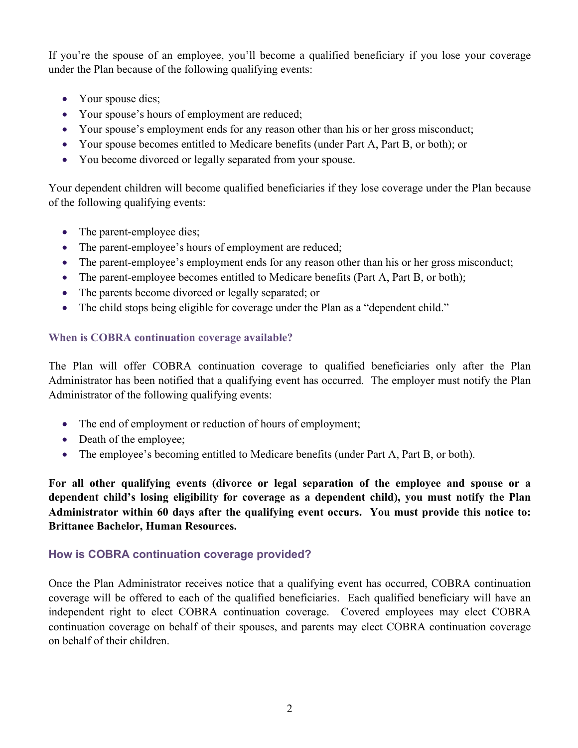If you're the spouse of an employee, you'll become a qualified beneficiary if you lose your coverage under the Plan because of the following qualifying events:

- Your spouse dies;
- Your spouse's hours of employment are reduced;
- Your spouse's employment ends for any reason other than his or her gross misconduct;
- Your spouse becomes entitled to Medicare benefits (under Part A, Part B, or both); or
- You become divorced or legally separated from your spouse.

Your dependent children will become qualified beneficiaries if they lose coverage under the Plan because of the following qualifying events:

- The parent-employee dies;
- The parent-employee's hours of employment are reduced;
- The parent-employee's employment ends for any reason other than his or her gross misconduct;
- The parent-employee becomes entitled to Medicare benefits (Part A, Part B, or both);
- The parents become divorced or legally separated; or
- The child stops being eligible for coverage under the Plan as a "dependent child."

# **When is COBRA continuation coverage available?**

The Plan will offer COBRA continuation coverage to qualified beneficiaries only after the Plan Administrator has been notified that a qualifying event has occurred. The employer must notify the Plan Administrator of the following qualifying events:

- The end of employment or reduction of hours of employment;
- Death of the employee;
- The employee's becoming entitled to Medicare benefits (under Part A, Part B, or both).

**For all other qualifying events (divorce or legal separation of the employee and spouse or a dependent child's losing eligibility for coverage as a dependent child), you must notify the Plan Administrator within 60 days after the qualifying event occurs. You must provide this notice to: Brittanee Bachelor, Human Resources.**

# **How is COBRA continuation coverage provided?**

Once the Plan Administrator receives notice that a qualifying event has occurred, COBRA continuation coverage will be offered to each of the qualified beneficiaries. Each qualified beneficiary will have an independent right to elect COBRA continuation coverage. Covered employees may elect COBRA continuation coverage on behalf of their spouses, and parents may elect COBRA continuation coverage on behalf of their children.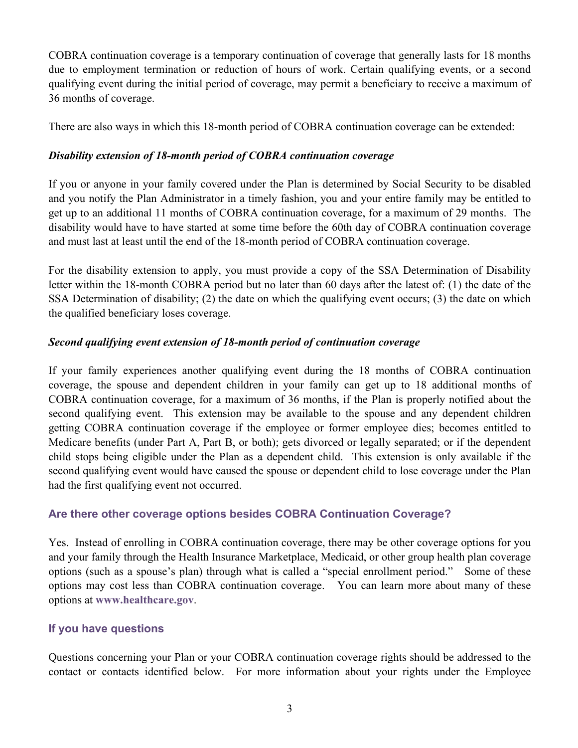COBRA continuation coverage is a temporary continuation of coverage that generally lasts for 18 months due to employment termination or reduction of hours of work. Certain qualifying events, or a second qualifying event during the initial period of coverage, may permit a beneficiary to receive a maximum of 36 months of coverage.

There are also ways in which this 18-month period of COBRA continuation coverage can be extended:

# *Disability extension of 18-month period of COBRA continuation coverage*

If you or anyone in your family covered under the Plan is determined by Social Security to be disabled and you notify the Plan Administrator in a timely fashion, you and your entire family may be entitled to get up to an additional 11 months of COBRA continuation coverage, for a maximum of 29 months. The disability would have to have started at some time before the 60th day of COBRA continuation coverage and must last at least until the end of the 18-month period of COBRA continuation coverage.

For the disability extension to apply, you must provide a copy of the SSA Determination of Disability letter within the 18-month COBRA period but no later than 60 days after the latest of: (1) the date of the SSA Determination of disability; (2) the date on which the qualifying event occurs; (3) the date on which the qualified beneficiary loses coverage.

#### *Second qualifying event extension of 18-month period of continuation coverage*

If your family experiences another qualifying event during the 18 months of COBRA continuation coverage, the spouse and dependent children in your family can get up to 18 additional months of COBRA continuation coverage, for a maximum of 36 months, if the Plan is properly notified about the second qualifying event. This extension may be available to the spouse and any dependent children getting COBRA continuation coverage if the employee or former employee dies; becomes entitled to Medicare benefits (under Part A, Part B, or both); gets divorced or legally separated; or if the dependent child stops being eligible under the Plan as a dependent child. This extension is only available if the second qualifying event would have caused the spouse or dependent child to lose coverage under the Plan had the first qualifying event not occurred.

# **Are there other coverage options besides COBRA Continuation Coverage?**

Yes. Instead of enrolling in COBRA continuation coverage, there may be other coverage options for you and your family through the Health Insurance Marketplace, Medicaid, or other group health plan coverage options (such as a spouse's plan) through what is called a "special enrollment period." Some of these options may cost less than COBRA continuation coverage. You can learn more about many of these options at **www.healthcare.gov**.

# **If you have questions**

Questions concerning your Plan or your COBRA continuation coverage rights should be addressed to the contact or contacts identified below. For more information about your rights under the Employee